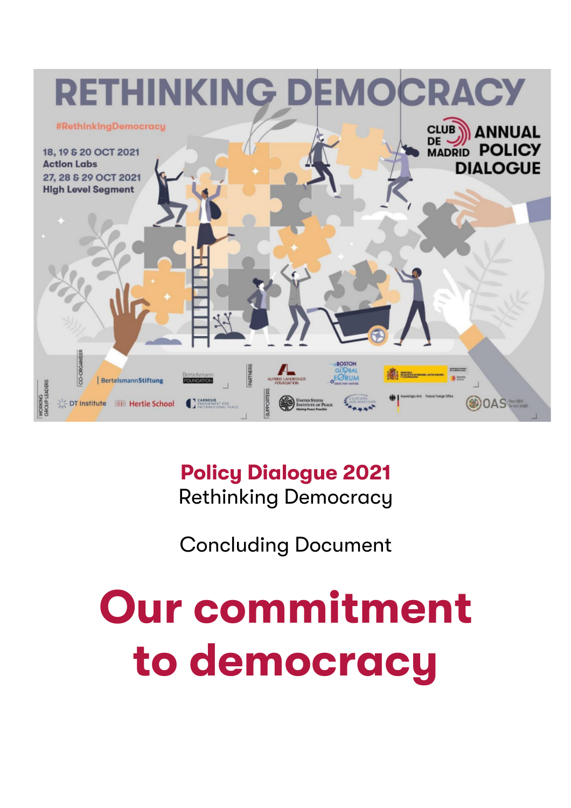

# **Policy Dialogue 2021** Rethinking Democracy

Concluding Document

# **Our commitment to democracy**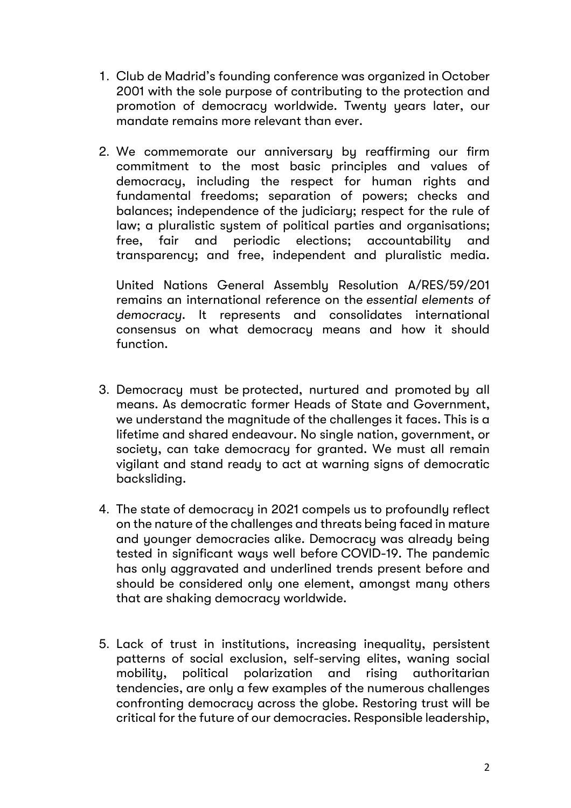- 1. Club de Madrid's founding conference was organized in October 2001 with the sole purpose of contributing to the protection and promotion of democracy worldwide. Twenty years later, our mandate remains more relevant than ever.
- 2. We commemorate our anniversary by reaffirming our firm commitment to the most basic principles and values of democracy, including the respect for human rights and fundamental freedoms; separation of powers; checks and balances; independence of the judiciary; respect for the rule of law; a pluralistic sustem of political parties and organisations; free, fair and periodic elections; accountability and transparency; and free, independent and pluralistic media.

United Nations General Assembly Resolution A/RES/59/201 remains an international reference on the *essential elements of democracy*. It represents and consolidates international consensus on what democracy means and how it should function.

- 3. Democracy must be protected, nurtured and promoted by all means. As democratic former Heads of State and Government, we understand the magnitude of the challenges it faces. This is a lifetime and shared endeavour. No single nation, government, or society, can take democracy for granted. We must all remain vigilant and stand ready to act at warning signs of democratic backsliding.
- 4. The state of democracy in 2021 compels us to profoundly reflect on the nature of the challenges and threats being faced in mature and younger democracies alike. Democracy was already being tested in significant ways well before COVID-19. The pandemic has only aggravated and underlined trends present before and should be considered only one element, amongst many others that are shaking democracy worldwide.
- 5. Lack of trust in institutions, increasing inequality, persistent patterns of social exclusion, self-serving elites, waning social mobility, political polarization and rising authoritarian tendencies, are only a few examples of the numerous challenges confronting democracy across the globe. Restoring trust will be critical for the future of our democracies. Responsible leadership,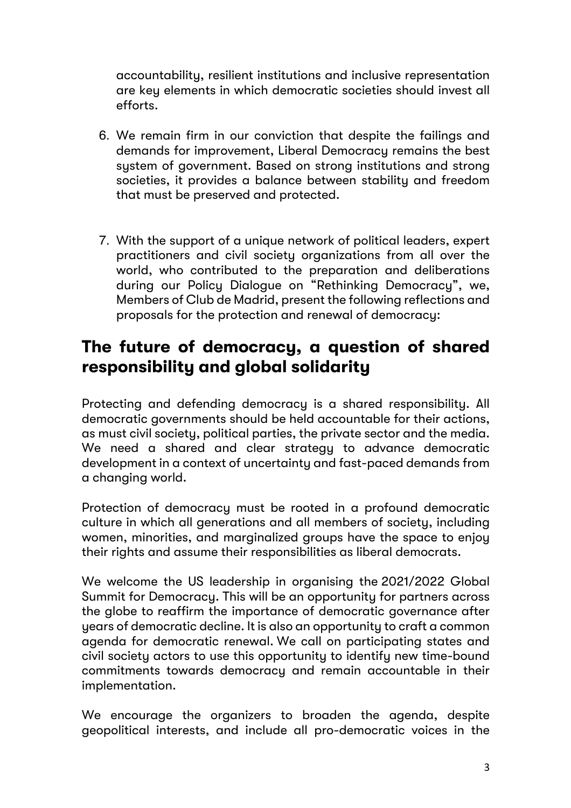accountability, resilient institutions and inclusive representation are key elements in which democratic societies should invest all efforts.

- 6. We remain firm in our conviction that despite the failings and demands for improvement, Liberal Democracy remains the best system of government. Based on strong institutions and strong societies, it provides a balance between stability and freedom that must be preserved and protected.
- 7. With the support of a unique network of political leaders, expert practitioners and civil society organizations from all over the world, who contributed to the preparation and deliberations during our Policy Dialogue on "Rethinking Democracy", we, Members of Club de Madrid, present the following reflections and proposals for the protection and renewal of democracy:

# **The future of democracy, a question of shared responsibility and global solidarity**

Protecting and defending democracy is a shared responsibility. All democratic governments should be held accountable for their actions, as must civil society, political parties, the private sector and the media. We need a shared and clear strategy to advance democratic development in a context of uncertainty and fast-paced demands from a changing world.

Protection of democracy must be rooted in a profound democratic culture in which all generations and all members of society, including women, minorities, and marginalized groups have the space to enjoy their rights and assume their responsibilities as liberal democrats.

We welcome the US leadership in organising the 2021/2022 Global Summit for Democracy. This will be an opportunity for partners across the globe to reaffirm the importance of democratic governance after years of democratic decline. It is also an opportunity to craft a common agenda for democratic renewal. We call on participating states and civil society actors to use this opportunity to identify new time-bound commitments towards democracy and remain accountable in their implementation.

We encourage the organizers to broaden the agenda, despite geopolitical interests, and include all pro-democratic voices in the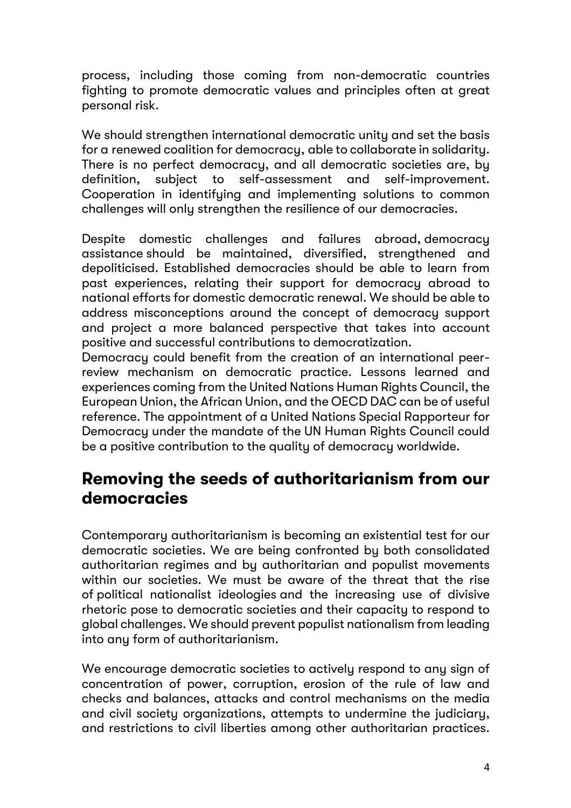process, including those coming from non-democratic countries fighting to promote democratic values and principles often at great personal risk.

We should strengthen international democratic unity and set the basis for a renewed coalition for democracy, able to collaborate in solidarity. There is no perfect democracy, and all democratic societies are, by definition, subject to self-assessment and self-improvement. Cooperation in identifying and implementing solutions to common challenges will only strengthen the resilience of our democracies.

Despite domestic challenges and failures abroad, democracy assistance should be maintained, diversified, strengthened and depoliticised. Established democracies should be able to learn from past experiences, relating their support for democracy abroad to national efforts for domestic democratic renewal. We should be able to address misconceptions around the concept of democracy support and project a more balanced perspective that takes into account positive and successful contributions to democratization.

Democracy could benefit from the creation of an international peerreview mechanism on democratic practice. Lessons learned and experiences coming from the United Nations Human Rights Council, the European Union, the African Union, and the OECD DAC can be of useful reference. The appointment of a United Nations Special Rapporteur for Democracy under the mandate of the UN Human Rights Council could be a positive contribution to the quality of democracy worldwide.

#### **Removing the seeds of authoritarianism from our democracies**

Contemporary authoritarianism is becoming an existential test for our democratic societies. We are being confronted by both consolidated authoritarian regimes and by authoritarian and populist movements within our societies. We must be aware of the threat that the rise of political nationalist ideologies and the increasing use of divisive rhetoric pose to democratic societies and their capacity to respond to global challenges. We should prevent populist nationalism from leading into any form of authoritarianism.

We encourage democratic societies to actively respond to any sign of concentration of power, corruption, erosion of the rule of law and checks and balances, attacks and control mechanisms on the media and civil society organizations, attempts to undermine the judiciary, and restrictions to civil liberties among other authoritarian practices.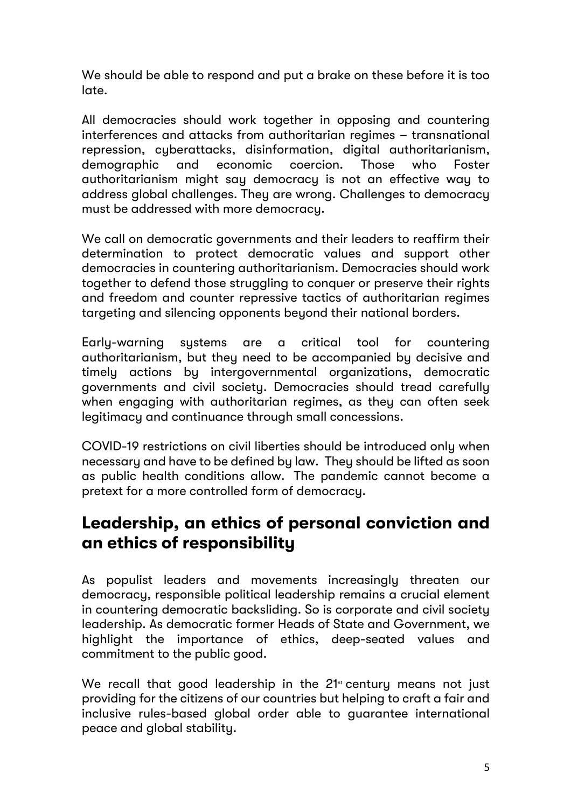We should be able to respond and put a brake on these before it is too late.

All democracies should work together in opposing and countering interferences and attacks from authoritarian regimes – transnational repression, cyberattacks, disinformation, digital authoritarianism, demographic and economic coercion. Those who Foster authoritarianism might say democracy is not an effective way to address global challenges. They are wrong. Challenges to democracy must be addressed with more democracy.

We call on democratic governments and their leaders to reaffirm their determination to protect democratic values and support other democracies in countering authoritarianism. Democracies should work together to defend those struggling to conquer or preserve their rights and freedom and counter repressive tactics of authoritarian regimes targeting and silencing opponents beyond their national borders.

Early-warning systems are a critical tool for countering authoritarianism, but they need to be accompanied by decisive and timely actions by intergovernmental organizations, democratic governments and civil society. Democracies should tread carefully when engaging with authoritarian regimes, as they can often seek legitimacy and continuance through small concessions.

COVID-19 restrictions on civil liberties should be introduced only when necessary and have to be defined by law. They should be lifted as soon as public health conditions allow. The pandemic cannot become a pretext for a more controlled form of democracy.

#### **Leadership, an ethics of personal conviction and an ethics of responsibility**

As populist leaders and movements increasingly threaten our democracy, responsible political leadership remains a crucial element in countering democratic backsliding. So is corporate and civil society leadership. As democratic former Heads of State and Government, we highlight the importance of ethics, deep-seated values and commitment to the public good.

We recall that good leadership in the  $21<sup>st</sup>$  century means not just providing for the citizens of our countries but helping to craft a fair and inclusive rules-based global order able to guarantee international peace and global stability.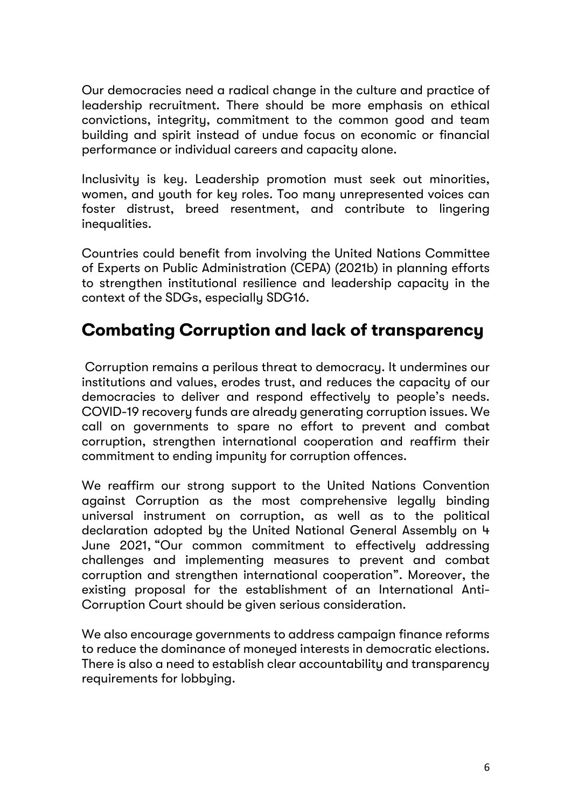Our democracies need a radical change in the culture and practice of leadership recruitment. There should be more emphasis on ethical convictions, integrity, commitment to the common good and team building and spirit instead of undue focus on economic or financial performance or individual careers and capacity alone.

Inclusivity is key. Leadership promotion must seek out minorities, women, and youth for key roles. Too many unrepresented voices can foster distrust, breed resentment, and contribute to lingering inequalities.

Countries could benefit from involving the United Nations Committee of Experts on Public Administration (CEPA) (2021b) in planning efforts to strengthen institutional resilience and leadership capacity in the context of the SDGs, especially SDG16.

# **Combating Corruption and lack of transparency**

Corruption remains a perilous threat to democracy. It undermines our institutions and values, erodes trust, and reduces the capacity of our democracies to deliver and respond effectively to people's needs. COVID-19 recovery funds are already generating corruption issues. We call on governments to spare no effort to prevent and combat corruption, strengthen international cooperation and reaffirm their commitment to ending impunity for corruption offences.

We reaffirm our strong support to the United Nations Convention against Corruption as the most comprehensive legally binding universal instrument on corruption, as well as to the political declaration adopted by the United National General Assembly on 4 June 2021, "Our common commitment to effectively addressing challenges and implementing measures to prevent and combat corruption and strengthen international cooperation". Moreover, the existing proposal for the establishment of an International Anti-Corruption Court should be given serious consideration.

We also encourage governments to address campaign finance reforms to reduce the dominance of moneyed interests in democratic elections. There is also a need to establish clear accountability and transparency requirements for lobbying.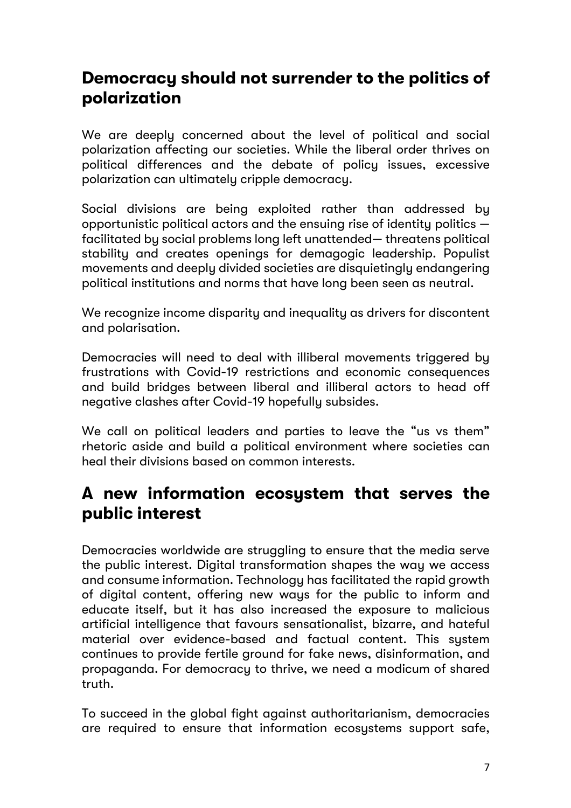# **Democracy should not surrender to the politics of polarization**

We are deeply concerned about the level of political and social polarization affecting our societies. While the liberal order thrives on political differences and the debate of policy issues, excessive polarization can ultimately cripple democracy.

Social divisions are being exploited rather than addressed by opportunistic political actors and the ensuing rise of identity politics facilitated by social problems long left unattended— threatens political stability and creates openings for demagogic leadership. Populist movements and deeply divided societies are disquietingly endangering political institutions and norms that have long been seen as neutral.

We recognize income disparity and inequality as drivers for discontent and polarisation.

Democracies will need to deal with illiberal movements triggered by frustrations with Covid-19 restrictions and economic consequences and build bridges between liberal and illiberal actors to head off negative clashes after Covid-19 hopefully subsides.

We call on political leaders and parties to leave the "us vs them" rhetoric aside and build a political environment where societies can heal their divisions based on common interests.

#### **A new information ecosystem that serves the public interest**

Democracies worldwide are struggling to ensure that the media serve the public interest. Digital transformation shapes the way we access and consume information. Technology has facilitated the rapid growth of digital content, offering new ways for the public to inform and educate itself, but it has also increased the exposure to malicious artificial intelligence that favours sensationalist, bizarre, and hateful material over evidence-based and factual content. This sustem continues to provide fertile ground for fake news, disinformation, and propaganda. For democracy to thrive, we need a modicum of shared truth.

To succeed in the global fight against authoritarianism, democracies are required to ensure that information ecosystems support safe,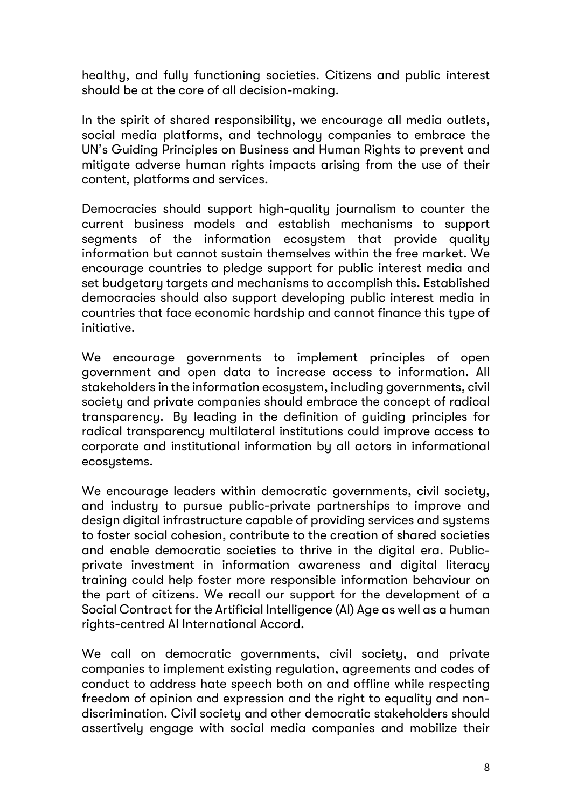healthy, and fully functioning societies. Citizens and public interest should be at the core of all decision-making.

In the spirit of shared responsibility, we encourage all media outlets, social media platforms, and technology companies to embrace the UN's Guiding Principles on Business and Human Rights to prevent and mitigate adverse human rights impacts arising from the use of their content, platforms and services.

Democracies should support high-quality journalism to counter the current business models and establish mechanisms to support segments of the information ecosystem that provide quality information but cannot sustain themselves within the free market. We encourage countries to pledge support for public interest media and set budgetary targets and mechanisms to accomplish this. Established democracies should also support developing public interest media in countries that face economic hardship and cannot finance this type of initiative.

We encourage governments to implement principles of open government and open data to increase access to information. All stakeholders in the information ecosystem, including governments, civil society and private companies should embrace the concept of radical transparency. By leading in the definition of guiding principles for radical transparency multilateral institutions could improve access to corporate and institutional information by all actors in informational ecosustems.

We encourage leaders within democratic governments, civil society, and industry to pursue public-private partnerships to improve and design digital infrastructure capable of providing services and systems to foster social cohesion, contribute to the creation of shared societies and enable democratic societies to thrive in the digital era. Publicprivate investment in information awareness and digital literacy training could help foster more responsible information behaviour on the part of citizens. We recall our support for the development of a Social Contract for the Artificial Intelligence (AI) Age as well as a human rights-centred AI International Accord.

We call on democratic governments, civil society, and private companies to implement existing regulation, agreements and codes of conduct to address hate speech both on and offline while respecting freedom of opinion and expression and the right to equality and nondiscrimination. Civil society and other democratic stakeholders should assertively engage with social media companies and mobilize their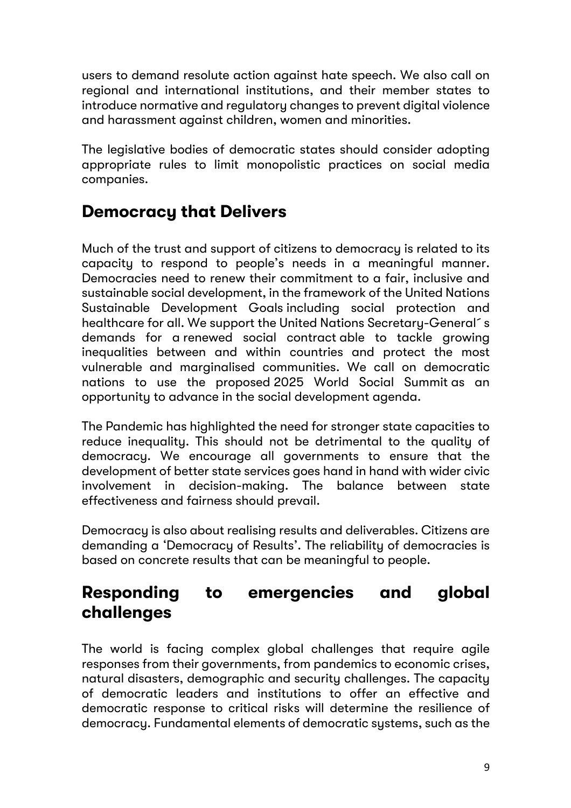users to demand resolute action against hate speech. We also call on regional and international institutions, and their member states to introduce normative and regulatory changes to prevent digital violence and harassment against children, women and minorities.

The legislative bodies of democratic states should consider adopting appropriate rules to limit monopolistic practices on social media companies.

# **Democracy that Delivers**

Much of the trust and support of citizens to democracy is related to its capacity to respond to people's needs in a meaningful manner. Democracies need to renew their commitment to a fair, inclusive and sustainable social development, in the framework of the United Nations Sustainable Development Goals including social protection and healthcare for all. We support the United Nations Secretary-General´s demands for a renewed social contract able to tackle growing inequalities between and within countries and protect the most vulnerable and marginalised communities. We call on democratic nations to use the proposed 2025 World Social Summit as an opportunity to advance in the social development agenda.

The Pandemic has highlighted the need for stronger state capacities to reduce inequality. This should not be detrimental to the quality of democracy. We encourage all governments to ensure that the development of better state services goes hand in hand with wider civic involvement in decision-making. The balance between state effectiveness and fairness should prevail.

Democracy is also about realising results and deliverables. Citizens are demanding a 'Democracy of Results'. The reliability of democracies is based on concrete results that can be meaningful to people.

# **Responding to emergencies and global challenges**

The world is facing complex global challenges that require agile responses from their governments, from pandemics to economic crises, natural disasters, demographic and security challenges. The capacity of democratic leaders and institutions to offer an effective and democratic response to critical risks will determine the resilience of democracy. Fundamental elements of democratic systems, such as the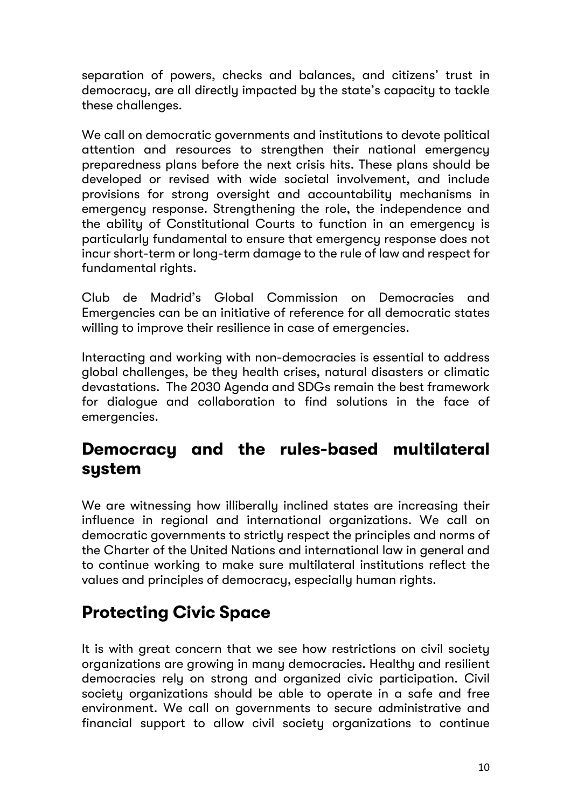separation of powers, checks and balances, and citizens' trust in democracy, are all directly impacted by the state's capacity to tackle these challenges.

We call on democratic governments and institutions to devote political attention and resources to strengthen their national emergency preparedness plans before the next crisis hits. These plans should be developed or revised with wide societal involvement, and include provisions for strong oversight and accountability mechanisms in emergency response. Strengthening the role, the independence and the ability of Constitutional Courts to function in an emergency is particularly fundamental to ensure that emergency response does not incur short-term or long-term damage to the rule of law and respect for fundamental rights.

Club de Madrid's Global Commission on Democracies and Emergencies can be an initiative of reference for all democratic states willing to improve their resilience in case of emergencies.

Interacting and working with non-democracies is essential to address global challenges, be they health crises, natural disasters or climatic devastations. The 2030 Agenda and SDGs remain the best framework for dialogue and collaboration to find solutions in the face of emergencies.

#### **Democracy and the rules-based multilateral system**

We are witnessing how illiberally inclined states are increasing their influence in regional and international organizations. We call on democratic governments to strictly respect the principles and norms of the Charter of the United Nations and international law in general and to continue working to make sure multilateral institutions reflect the values and principles of democracy, especially human rights.

# **Protecting Civic Space**

It is with great concern that we see how restrictions on civil society organizations are growing in many democracies. Healthy and resilient democracies rely on strong and organized civic participation. Civil society organizations should be able to operate in a safe and free environment. We call on governments to secure administrative and financial support to allow civil society organizations to continue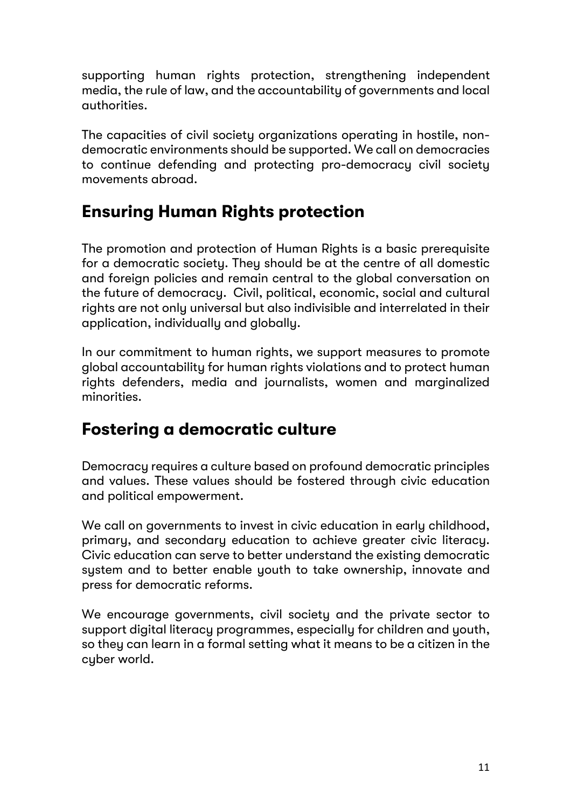supporting human rights protection, strengthening independent media, the rule of law, and the accountability of governments and local authorities.

The capacities of civil society organizations operating in hostile, nondemocratic environments should be supported. We call on democracies to continue defending and protecting pro-democracy civil society movements abroad.

# **Ensuring Human Rights protection**

The promotion and protection of Human Riahts is a basic prerequisite for a democratic society. They should be at the centre of all domestic and foreign policies and remain central to the global conversation on the future of democracy. Civil, political, economic, social and cultural rights are not only universal but also indivisible and interrelated in their application, individually and globally.

In our commitment to human rights, we support measures to promote global accountability for human rights violations and to protect human rights defenders, media and journalists, women and marginalized minorities.

# **Fostering a democratic culture**

Democracy requires a culture based on profound democratic principles and values. These values should be fostered through civic education and political empowerment.

We call on governments to invest in civic education in early childhood, primary, and secondary education to achieve greater civic literacy. Civic education can serve to better understand the existing democratic system and to better enable youth to take ownership, innovate and press for democratic reforms.

We encourage governments, civil society and the private sector to support digital literacy programmes, especially for children and youth, so they can learn in a formal setting what it means to be a citizen in the cyber world.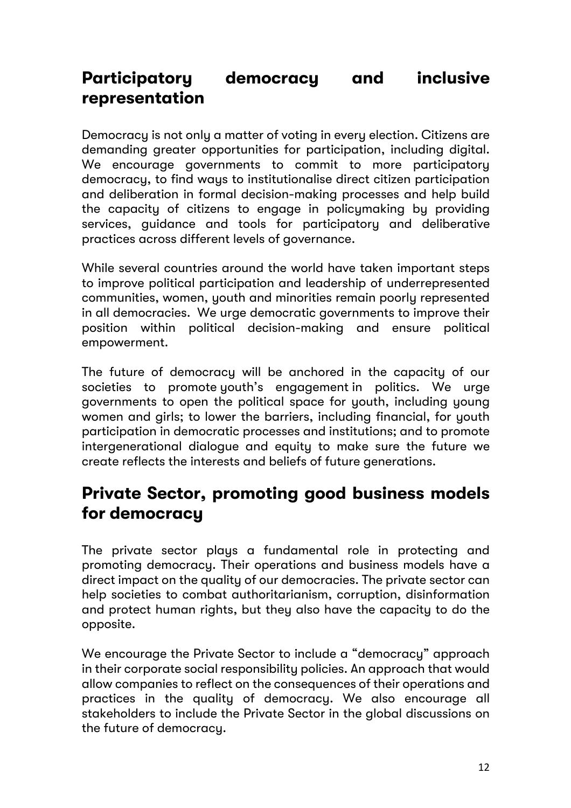# **Participatory democracy and inclusive representation**

Democracy is not only a matter of voting in every election. Citizens are demanding greater opportunities for participation, including digital. We encourage governments to commit to more participatory democracy, to find ways to institutionalise direct citizen participation and deliberation in formal decision-making processes and help build the capacity of citizens to engage in policymaking by providing services, guidance and tools for participatory and deliberative practices across different levels of governance.

While several countries around the world have taken important steps to improve political participation and leadership of underrepresented communities, women, youth and minorities remain poorly represented in all democracies. We urge democratic governments to improve their position within political decision-making and ensure political empowerment.

The future of democracy will be anchored in the capacity of our societies to promote youth's engagement in politics. We urge governments to open the political space for youth, including young women and girls; to lower the barriers, including financial, for youth participation in democratic processes and institutions; and to promote intergenerational dialogue and equity to make sure the future we create reflects the interests and beliefs of future generations.

# **Private Sector, promoting good business models for democracy**

The private sector plays a fundamental role in protecting and promoting democracy. Their operations and business models have a direct impact on the quality of our democracies. The private sector can help societies to combat authoritarianism, corruption, disinformation and protect human rights, but they also have the capacity to do the opposite.

We encourage the Private Sector to include a "democracy" approach in their corporate social responsibility policies. An approach that would allow companies to reflect on the consequences of their operations and practices in the quality of democracy. We also encourage all stakeholders to include the Private Sector in the global discussions on the future of democracy.